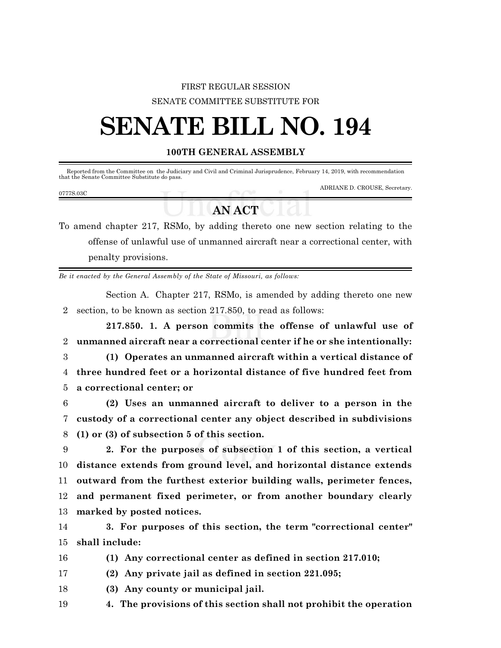## FIRST REGULAR SESSION SENATE COMMITTEE SUBSTITUTE FOR

# **SENATE BILL NO. 194**

### **100TH GENERAL ASSEMBLY**

Reported from the Committee on the Judiciary and Civil and Criminal Jurisprudence, February 14, 2019, with recommendation that the Senate Committee Substitute do pass.

#### 0777S.03C

ADRIANE D. CROUSE, Secretary.

## **AN ACT**

To amend chapter 217, RSMo, by adding thereto one new section relating to the offense of unlawful use of unmanned aircraft near a correctional center, with penalty provisions.

*Be it enacted by the General Assembly of the State of Missouri, as follows:*

Section A. Chapter 217, RSMo, is amended by adding thereto one new 2 section, to be known as section 217.850, to read as follows:

**217.850. 1. A person commits the offense of unlawful use of** 2 **unmanned aircraft near a correctional center if he or she intentionally:**

3 **(1) Operates an unmanned aircraft within a vertical distance of** 4 **three hundred feet or a horizontal distance of five hundred feet from** 5 **a correctional center; or**

6 **(2) Uses an unmanned aircraft to deliver to a person in the** 7 **custody of a correctional center any object described in subdivisions** 8 **(1) or (3) of subsection 5 of this section.**

 **2. For the purposes of subsection 1 of this section, a vertical distance extends from ground level, and horizontal distance extends outward from the furthest exterior building walls, perimeter fences, and permanent fixed perimeter, or from another boundary clearly marked by posted notices.**

14 **3. For purposes of this section, the term "correctional center"** 15 **shall include:**

16 **(1) Any correctional center as defined in section 217.010;**

17 **(2) Any private jail as defined in section 221.095;**

18 **(3) Any county or municipal jail.**

19 **4. The provisions of this section shall not prohibit the operation**